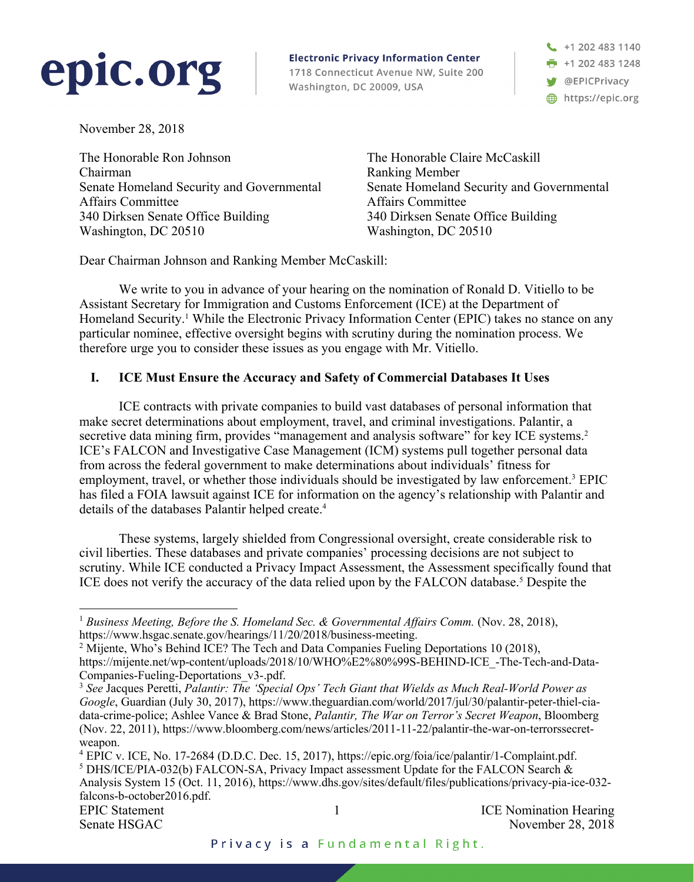# epic.org

**Electronic Privacy Information Center** 1718 Connecticut Avenue NW, Suite 200 Washington, DC 20009, USA

 $\leftarrow$  +1 202 483 1140 ■ +1 202 483 1248 OEPICPrivacy https://epic.org

November 28, 2018

The Honorable Ron Johnson Chairman Senate Homeland Security and Governmental Affairs Committee 340 Dirksen Senate Office Building Washington, DC 20510

The Honorable Claire McCaskill Ranking Member Senate Homeland Security and Governmental Affairs Committee 340 Dirksen Senate Office Building Washington, DC 20510

Dear Chairman Johnson and Ranking Member McCaskill:

We write to you in advance of your hearing on the nomination of Ronald D. Vitiello to be Assistant Secretary for Immigration and Customs Enforcement (ICE) at the Department of Homeland Security.<sup>1</sup> While the Electronic Privacy Information Center (EPIC) takes no stance on any particular nominee, effective oversight begins with scrutiny during the nomination process. We therefore urge you to consider these issues as you engage with Mr. Vitiello.

### **I. ICE Must Ensure the Accuracy and Safety of Commercial Databases It Uses**

ICE contracts with private companies to build vast databases of personal information that make secret determinations about employment, travel, and criminal investigations. Palantir, a secretive data mining firm, provides "management and analysis software" for key ICE systems.<sup>2</sup> ICE's FALCON and Investigative Case Management (ICM) systems pull together personal data from across the federal government to make determinations about individuals' fitness for employment, travel, or whether those individuals should be investigated by law enforcement.3 EPIC has filed a FOIA lawsuit against ICE for information on the agency's relationship with Palantir and details of the databases Palantir helped create.<sup>4</sup>

These systems, largely shielded from Congressional oversight, create considerable risk to civil liberties. These databases and private companies' processing decisions are not subject to scrutiny. While ICE conducted a Privacy Impact Assessment, the Assessment specifically found that ICE does not verify the accuracy of the data relied upon by the FALCON database.<sup>5</sup> Despite the

Senate HSGAC November 28, 2018

 <sup>1</sup> *Business Meeting, Before the S. Homeland Sec. & Governmental Affairs Comm.* (Nov. 28, 2018), https://www.hsgac.senate.gov/hearings/11/20/2018/business-meeting.<br><sup>2</sup> Mijente, Who's Behind ICE? The Tech and Data Companies Fueling Deportations 10 (2018),

https://mijente.net/wp-content/uploads/2018/10/WHO%E2%80%99S-BEHIND-ICE\_-The-Tech-and-Data-Companies-Fueling-Deportations\_v3-.pdf.<br><sup>3</sup> See Jacques Peretti, *Palantir: The 'Special Ops' Tech Giant that Wields as Much Real-World Power as* 

*Google*, Guardian (July 30, 2017), https://www.theguardian.com/world/2017/jul/30/palantir-peter-thiel-ciadata-crime-police; Ashlee Vance & Brad Stone, *Palantir, The War on Terror's Secret Weapon*, Bloomberg (Nov. 22, 2011), https://www.bloomberg.com/news/articles/2011-11-22/palantir-the-war-on-terrorssecretweapon.

EPIC Statement 1 1 1 ICE Nomination Hearing <sup>4</sup> EPIC v. ICE, No. 17-2684 (D.D.C. Dec. 15, 2017), https://epic.org/foia/ice/palantir/1-Complaint.pdf. <sup>5</sup> DHS/ICE/PIA-032(b) FALCON-SA, Privacy Impact assessment Update for the FALCON Search & Analysis System 15 (Oct. 11, 2016), https://www.dhs.gov/sites/default/files/publications/privacy-pia-ice-032 falcons-b-october2016.pdf.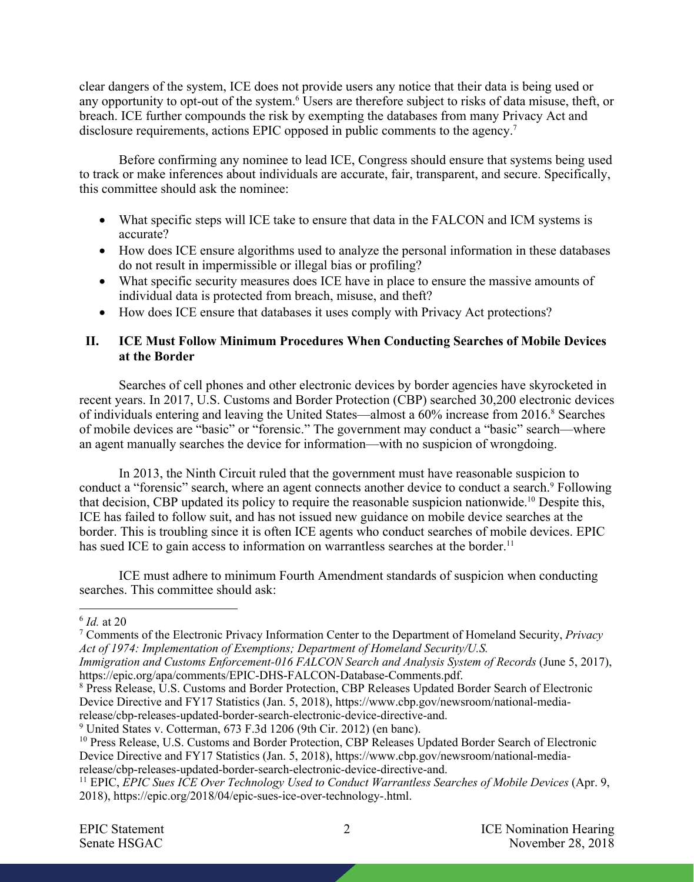clear dangers of the system, ICE does not provide users any notice that their data is being used or any opportunity to opt-out of the system.6 Users are therefore subject to risks of data misuse, theft, or breach. ICE further compounds the risk by exempting the databases from many Privacy Act and disclosure requirements, actions EPIC opposed in public comments to the agency.<sup>7</sup>

Before confirming any nominee to lead ICE, Congress should ensure that systems being used to track or make inferences about individuals are accurate, fair, transparent, and secure. Specifically, this committee should ask the nominee:

- What specific steps will ICE take to ensure that data in the FALCON and ICM systems is accurate?
- How does ICE ensure algorithms used to analyze the personal information in these databases do not result in impermissible or illegal bias or profiling?
- What specific security measures does ICE have in place to ensure the massive amounts of individual data is protected from breach, misuse, and theft?
- How does ICE ensure that databases it uses comply with Privacy Act protections?

#### **II. ICE Must Follow Minimum Procedures When Conducting Searches of Mobile Devices at the Border**

Searches of cell phones and other electronic devices by border agencies have skyrocketed in recent years. In 2017, U.S. Customs and Border Protection (CBP) searched 30,200 electronic devices of individuals entering and leaving the United States—almost a 60% increase from 2016.<sup>8</sup> Searches of mobile devices are "basic" or "forensic." The government may conduct a "basic" search—where an agent manually searches the device for information—with no suspicion of wrongdoing.

In 2013, the Ninth Circuit ruled that the government must have reasonable suspicion to conduct a "forensic" search, where an agent connects another device to conduct a search.<sup>9</sup> Following that decision, CBP updated its policy to require the reasonable suspicion nationwide.10 Despite this, ICE has failed to follow suit, and has not issued new guidance on mobile device searches at the border. This is troubling since it is often ICE agents who conduct searches of mobile devices. EPIC has sued ICE to gain access to information on warrantless searches at the border.<sup>11</sup>

ICE must adhere to minimum Fourth Amendment standards of suspicion when conducting searches. This committee should ask:

 <sup>6</sup> *Id.* at 20

<sup>7</sup> Comments of the Electronic Privacy Information Center to the Department of Homeland Security, *Privacy Act of 1974: Implementation of Exemptions; Department of Homeland Security/U.S.*

*Immigration and Customs Enforcement-016 FALCON Search and Analysis System of Records* (June 5, 2017), https://epic.org/apa/comments/EPIC-DHS-FALCON-Database-Comments.pdf.

 $8$  Press Release, U.S. Customs and Border Protection, CBP Releases Updated Border Search of Electronic Device Directive and FY17 Statistics (Jan. 5, 2018), https://www.cbp.gov/newsroom/national-mediarelease/cbp-releases-updated-border-search-electronic-device-directive-and.

<sup>9</sup> United States v. Cotterman, 673 F.3d 1206 (9th Cir. 2012) (en banc).

<sup>&</sup>lt;sup>10</sup> Press Release, U.S. Customs and Border Protection, CBP Releases Updated Border Search of Electronic Device Directive and FY17 Statistics (Jan. 5, 2018), https://www.cbp.gov/newsroom/national-mediarelease/cbp-releases-updated-border-search-electronic-device-directive-and.

<sup>11</sup> EPIC, *EPIC Sues ICE Over Technology Used to Conduct Warrantless Searches of Mobile Devices* (Apr. 9, 2018), https://epic.org/2018/04/epic-sues-ice-over-technology-.html.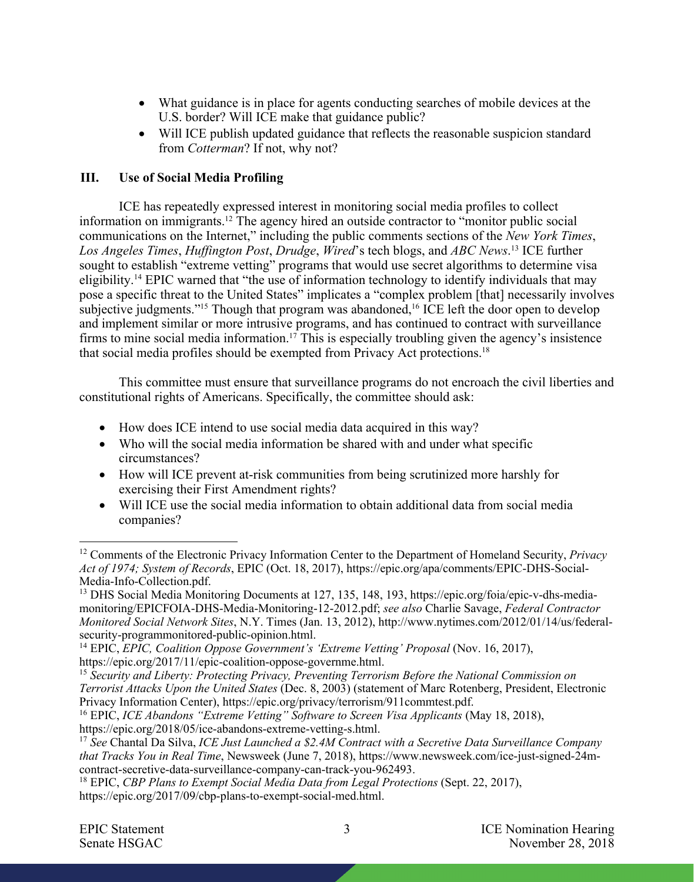- What guidance is in place for agents conducting searches of mobile devices at the U.S. border? Will ICE make that guidance public?
- Will ICE publish updated guidance that reflects the reasonable suspicion standard from *Cotterman*? If not, why not?

## **III. Use of Social Media Profiling**

ICE has repeatedly expressed interest in monitoring social media profiles to collect information on immigrants.12 The agency hired an outside contractor to "monitor public social communications on the Internet," including the public comments sections of the *New York Times*, *Los Angeles Times*, *Huffington Post*, *Drudge*, *Wired*'s tech blogs, and *ABC News*. <sup>13</sup> ICE further sought to establish "extreme vetting" programs that would use secret algorithms to determine visa eligibility.14 EPIC warned that "the use of information technology to identify individuals that may pose a specific threat to the United States" implicates a "complex problem [that] necessarily involves subjective judgments."<sup>15</sup> Though that program was abandoned,<sup>16</sup> ICE left the door open to develop and implement similar or more intrusive programs, and has continued to contract with surveillance firms to mine social media information.<sup>17</sup> This is especially troubling given the agency's insistence that social media profiles should be exempted from Privacy Act protections.18

This committee must ensure that surveillance programs do not encroach the civil liberties and constitutional rights of Americans. Specifically, the committee should ask:

- How does ICE intend to use social media data acquired in this way?
- Who will the social media information be shared with and under what specific circumstances?
- How will ICE prevent at-risk communities from being scrutinized more harshly for exercising their First Amendment rights?
- Will ICE use the social media information to obtain additional data from social media companies?

 <sup>12</sup> Comments of the Electronic Privacy Information Center to the Department of Homeland Security, *Privacy Act of 1974; System of Records*, EPIC (Oct. 18, 2017), https://epic.org/apa/comments/EPIC-DHS-Social-Media-Info-Collection.pdf.<br><sup>13</sup> DHS Social Media Monitoring Documents at 127, 135, 148, 193, https://epic.org/foia/epic-v-dhs-media-

monitoring/EPICFOIA-DHS-Media-Monitoring-12-2012.pdf; *see also* Charlie Savage, *Federal Contractor Monitored Social Network Sites*, N.Y. Times (Jan. 13, 2012), http://www.nytimes.com/2012/01/14/us/federalsecurity-programmonitored-public-opinion.html.

<sup>&</sup>lt;sup>14</sup> EPIC, *EPIC, Coalition Oppose Government's 'Extreme Vetting' Proposal* (Nov. 16, 2017), https://epic.org/2017/11/epic-coalition-oppose-governme.html. 15 *Security and Liberty: Protecting Privacy, Preventing Terrorism Before the National Commission on* 

*Terrorist Attacks Upon the United States* (Dec. 8, 2003) (statement of Marc Rotenberg, President, Electronic

Privacy Information Center), https://epic.org/privacy/terrorism/911commtest.pdf.<br><sup>16</sup> EPIC, *ICE Abandons "Extreme Vetting" Software to Screen Visa Applicants* (May 18, 2018),<br>https://epic.org/2018/05/ice-abandons-extreme-

<sup>&</sup>lt;sup>17</sup> See Chantal Da Silva, *ICE Just Launched a \$2.4M Contract with a Secretive Data Surveillance Company that Tracks You in Real Time*, Newsweek (June 7, 2018), https://www.newsweek.com/ice-just-signed-24mcontract-secretive-data-surveillance-company-can-track-you-962493. 18 EPIC, *CBP Plans to Exempt Social Media Data from Legal Protections* (Sept. 22, 2017),

https://epic.org/2017/09/cbp-plans-to-exempt-social-med.html.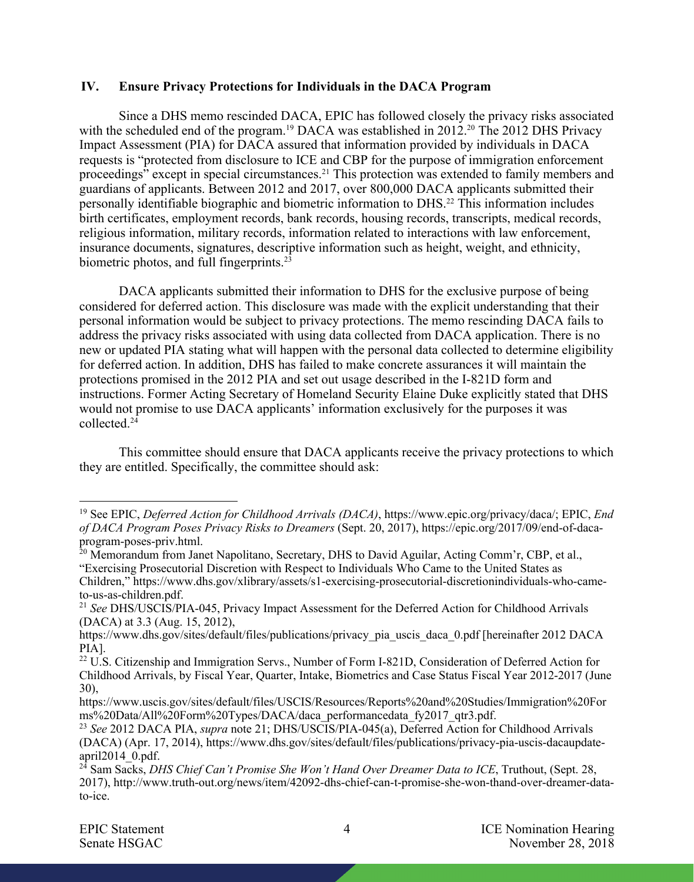#### **IV. Ensure Privacy Protections for Individuals in the DACA Program**

Since a DHS memo rescinded DACA, EPIC has followed closely the privacy risks associated with the scheduled end of the program.<sup>19</sup> DACA was established in 2012.<sup>20</sup> The 2012 DHS Privacy Impact Assessment (PIA) for DACA assured that information provided by individuals in DACA requests is "protected from disclosure to ICE and CBP for the purpose of immigration enforcement proceedings" except in special circumstances.<sup>21</sup> This protection was extended to family members and guardians of applicants. Between 2012 and 2017, over 800,000 DACA applicants submitted their personally identifiable biographic and biometric information to DHS.22 This information includes birth certificates, employment records, bank records, housing records, transcripts, medical records, religious information, military records, information related to interactions with law enforcement, insurance documents, signatures, descriptive information such as height, weight, and ethnicity, biometric photos, and full fingerprints.<sup>23</sup>

DACA applicants submitted their information to DHS for the exclusive purpose of being considered for deferred action. This disclosure was made with the explicit understanding that their personal information would be subject to privacy protections. The memo rescinding DACA fails to address the privacy risks associated with using data collected from DACA application. There is no new or updated PIA stating what will happen with the personal data collected to determine eligibility for deferred action. In addition, DHS has failed to make concrete assurances it will maintain the protections promised in the 2012 PIA and set out usage described in the I-821D form and instructions. Former Acting Secretary of Homeland Security Elaine Duke explicitly stated that DHS would not promise to use DACA applicants' information exclusively for the purposes it was collected.24

This committee should ensure that DACA applicants receive the privacy protections to which they are entitled. Specifically, the committee should ask:

 <sup>19</sup> See EPIC, *Deferred Action for Childhood Arrivals (DACA)*, https://www.epic.org/privacy/daca/; EPIC, *End of DACA Program Poses Privacy Risks to Dreamers* (Sept. 20, 2017), https://epic.org/2017/09/end-of-dacaprogram-poses-priv.html.

<sup>&</sup>lt;sup>20</sup> Memorandum from Janet Napolitano, Secretary, DHS to David Aguilar, Acting Comm'r, CBP, et al., "Exercising Prosecutorial Discretion with Respect to Individuals Who Came to the United States as

Children," https://www.dhs.gov/xlibrary/assets/s1-exercising-prosecutorial-discretionindividuals-who-cameto-us-as-children.pdf.

<sup>21</sup> *See* DHS/USCIS/PIA-045, Privacy Impact Assessment for the Deferred Action for Childhood Arrivals (DACA) at 3.3 (Aug. 15, 2012),

https://www.dhs.gov/sites/default/files/publications/privacy\_pia\_uscis\_daca\_0.pdf [hereinafter 2012 DACA PIA].

<sup>&</sup>lt;sup>22</sup> U.S. Citizenship and Immigration Servs., Number of Form I-821D, Consideration of Deferred Action for Childhood Arrivals, by Fiscal Year, Quarter, Intake, Biometrics and Case Status Fiscal Year 2012-2017 (June 30),

https://www.uscis.gov/sites/default/files/USCIS/Resources/Reports%20and%20Studies/Immigration%20For ms%20Data/All%20Form%20Types/DACA/daca\_performancedata\_fy2017\_qtr3.pdf. 23 *See* 2012 DACA PIA, *supra* note 21; DHS/USCIS/PIA-045(a), Deferred Action for Childhood Arrivals

<sup>(</sup>DACA) (Apr. 17, 2014), https://www.dhs.gov/sites/default/files/publications/privacy-pia-uscis-dacaupdateapril2014\_0.pdf.

<sup>&</sup>lt;sup>24</sup> Sam Sacks, *DHS Chief Can't Promise She Won't Hand Over Dreamer Data to ICE*, Truthout, (Sept. 28, 2017), http://www.truth-out.org/news/item/42092-dhs-chief-can-t-promise-she-won-thand-over-dreamer-datato-ice.